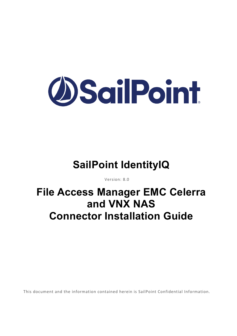

# **SailPoint IdentityIQ**

Version: 8.0

# **File Access Manager EMC Celerra and VNX NAS Connector Installation Guide**

This document and the information contained herein is SailPoint Confidential Information.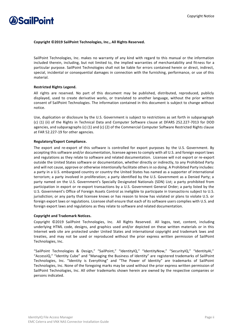

#### **Copyright ©2019 SailPoint Technologies, Inc., All Rights Reserved.**

SailPoint Technologies, Inc. makes no warranty of any kind with regard to this manual or the information included therein, including, but not limited to, the implied warranties of merchantability and fitness for a particular purpose. SailPoint Technologies shall not be liable for errors contained herein or direct, indirect, special, incidental or consequential damages in connection with the furnishing, performance, or use of this material.

#### **Restricted Rights Legend.**

All rights are reserved. No part of this document may be published, distributed, reproduced, publicly displayed, used to create derivative works, or translated to another language, without the prior written consent of SailPoint Technologies. The information contained in this document is subject to change without notice.

Use, duplication or disclosure by the U.S. Government is subject to restrictions as set forth in subparagraph (c) (1) (ii) of the Rights in Technical Data and Computer Software clause at DFARS 252.227-7013 for DOD agencies, and subparagraphs (c) (1) and (c) (2) of the Commercial Computer Software Restricted Rights clause at FAR 52.227-19 for other agencies.

#### **Regulatory/Export Compliance.**

The export and re-export of this software is controlled for export purposes by the U.S. Government. By accepting this software and/or documentation, licensee agrees to comply with all U.S. and foreign export laws and regulations as they relate to software and related documentation. Licensee will not export or re-export outside the United States software or documentation, whether directly or indirectly, to any Prohibited Party and will not cause, approve or otherwise intentionally facilitate others in so doing. A Prohibited Party includes: a party in a U.S. embargoed country or country the United States has named as a supporter of international terrorism; a party involved in proliferation; a party identified by the U.S. Government as a Denied Party; a party named on the U.S. Government's Specially Designated Nationals (SDN) List; a party prohibited from participation in export or re-export transactions by a U.S. Government General Order; a party listed by the U.S. Government's Office of Foreign Assets Control as ineligible to participate in transactions subject to U.S. jurisdiction; or any party that licensee knows or has reason to know has violated or plans to violate U.S. or foreign export laws or regulations. Licensee shall ensure that each of its software users complies with U.S. and foreign export laws and regulations as they relate to software and related documentation.

#### **Copyright and Trademark Notices.**

Copyright ©2019 SailPoint Technologies, Inc. All Rights Reserved. All logos, text, content, including underlying HTML code, designs, and graphics used and/or depicted on these written materials or in this Internet web site are protected under United States and international copyright and trademark laws and treaties, and may not be used or reproduced without the prior express written permission of SailPoint Technologies, Inc.

"SailPoint Technologies & Design," "SailPoint," "IdentityIQ," "IdentityNow," "SecurityIQ," "IdentityAI," "AccessIQ," "Identity Cube" and "Managing the Business of Identity" are registered trademarks of SailPoint Technologies, Inc. "Identity is Everything" and "The Power of Identity" are trademarks of SailPoint Technologies, Inc. None of the foregoing marks may be used without the prior express written permission of SailPoint Technologies, Inc. All other trademarks shown herein are owned by the respective companies or persons indicated.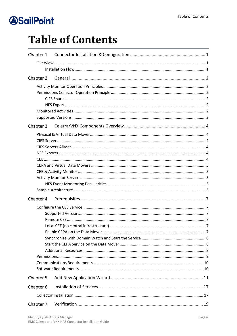# **Table of Contents**

| Chapter 3: |  |
|------------|--|
|            |  |
|            |  |
|            |  |
|            |  |
|            |  |
|            |  |
|            |  |
|            |  |
|            |  |
|            |  |
| Chapter 4: |  |
|            |  |
|            |  |
|            |  |
|            |  |
|            |  |
|            |  |
|            |  |
|            |  |
|            |  |
|            |  |
| Chapter 5: |  |
| Chapter 6: |  |
|            |  |
| Chapter 7: |  |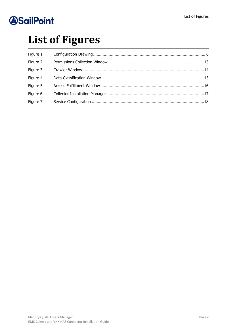# **List of Figures**

| Figure 1. |  |
|-----------|--|
| Figure 2. |  |
| Figure 3. |  |
| Figure 4. |  |
| Figure 5. |  |
| Figure 6. |  |
| Figure 7. |  |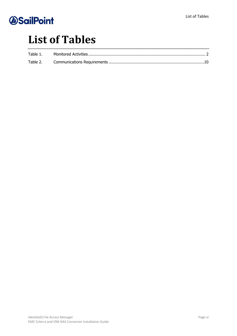# **List of Tables**

| Table 1. |  |
|----------|--|
|          |  |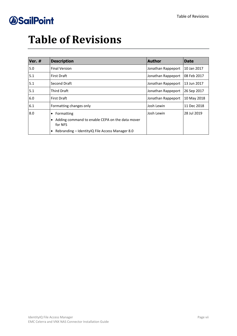# **Table of Revisions**

| Ver. # | <b>Description</b>                                              | <b>Author</b>      | <b>Date</b>  |
|--------|-----------------------------------------------------------------|--------------------|--------------|
| 5.0    | <b>Final Version</b>                                            | Jonathan Rappeport | 10 Jan 2017  |
| 5.1    | <b>First Draft</b>                                              | Jonathan Rappeport | l08 Feb 2017 |
| 5.1    | Second Draft                                                    | Jonathan Rappeport | 13 Jun 2017  |
| 5.1    | <b>Third Draft</b>                                              | Jonathan Rappeport | 26 Sep 2017  |
| 6.0    | <b>First Draft</b>                                              | Jonathan Rappeport | 10 May 2018  |
| 6.1    | Formatting changes only                                         | Josh Lewin         | 11 Dec 2018  |
| 8.0    | Formatting<br>$\bullet$                                         | Josh Lewin         | 28 Jul 2019  |
|        | Adding command to enable CEPA on the data mover<br>٠<br>for NFS |                    |              |
|        | Rebranding – Identity IQ File Access Manager 8.0<br>$\bullet$   |                    |              |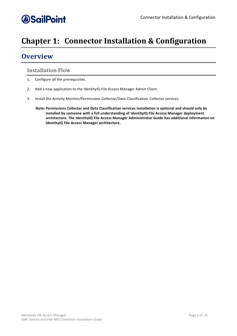## <span id="page-7-0"></span>**Chapter 1: Connector Installation & Configuration**

## <span id="page-7-1"></span>**Overview**

### <span id="page-7-2"></span>**Installation Flow**

- 1. Configure all the prerequisites.
- 2. Add a new application to the IdentityIQ File Access Manager Admin Client.
- 3. Install the Activity Monitor/Permissions Collector/Data Classification Collector services.
	- **Note: Permissions Collector and Data Classification services installation is optional and should only be installed by someone with a full understanding of IdentityIQ File Access Manager deployment architecture. The IdentityIQ File Access Manager Administrator Guide has additional information on IdentityIQ File Access Manager architecture.**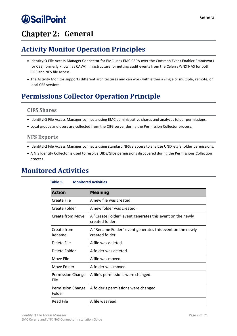## <span id="page-8-0"></span>**Chapter 2: General**

## <span id="page-8-1"></span>**Activity Monitor Operation Principles**

- IdentityIQ File Access Manager Connector for EMC uses EMC CEPA over the Common Event Enabler Framework (or CEE, formerly known as CAVA) infrastructure for getting audit events from the Celerra/VNX NAS for both CIFS and NFS file access.
- The Activity Monitor supports different architectures and can work with either a single or multiple, remote, or local CEE services.

## <span id="page-8-2"></span>**Permissions Collector Operation Principle**

### <span id="page-8-3"></span>**CIFS Shares**

- IdentityIQ File Access Manager connects using EMC administrative shares and analyzes folder permissions.
- Local groups and users are collected from the CIFS server during the Permission Collector process.

### <span id="page-8-4"></span>**NFS Exports**

- IdentityIQ File Access Manager connects using standard NFSv3 access to analyze UNIX-style folder permissions.
- A NIS Identity Collector is used to resolve UIDs/GIDs permissions discovered during the Permissions Collection process.

### <span id="page-8-6"></span><span id="page-8-5"></span>**Monitored Activities**

| <b>Action</b>                      | <b>Meaning</b>                                                               |
|------------------------------------|------------------------------------------------------------------------------|
| Create File                        | A new file was created.                                                      |
| Create Folder                      | A new folder was created.                                                    |
| Create from Move                   | A "Create Folder" event generates this event on the newly<br>created folder. |
| Create from<br>Rename              | A "Rename Folder" event generates this event on the newly<br>created folder. |
| Delete File                        | A file was deleted.                                                          |
| Delete Folder                      | A folder was deleted.                                                        |
| Move File                          | A file was moved.                                                            |
| Move Folder                        | A folder was moved.                                                          |
| Permission Change<br>File          | A file's permissions were changed.                                           |
| <b>Permission Change</b><br>Folder | A folder's permissions were changed.                                         |
| <b>Read File</b>                   | A file was read.                                                             |

#### **Table 1. Monitored Activities**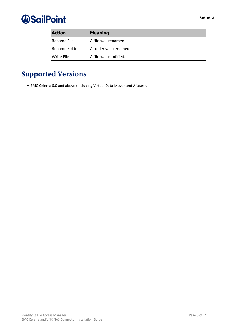

| <b>Action</b>     | <b>Meaning</b>        |
|-------------------|-----------------------|
| l Rename File     | A file was renamed.   |
| l Rename Folder   | A folder was renamed. |
| <b>Write File</b> | A file was modified.  |

## <span id="page-9-0"></span>**Supported Versions**

• EMC Celerra 6.0 and above (including Virtual Data Mover and Aliases).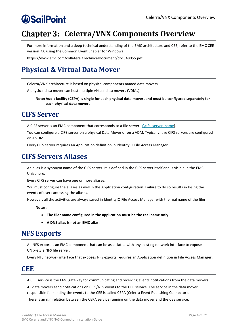## <span id="page-10-0"></span>**Chapter 3: Celerra/VNX Components Overview**

For more information and a deep technical understanding of the EMC architecture and CEE, refer to the EMC CEE version 7.0 using the Common Event Enabler for Windows

https://www.emc.com/collateral/TechnicalDocument/docu48055.pdf

## <span id="page-10-1"></span>**Physical & Virtual Data Mover**

Celerra/VNX architecture is based on physical components named data movers.

A physical data mover can host multiple virtual data movers (VDMs).

**Note: Audit facility (CEPA) is single for each physical data mover, and must be configured separately for each physical data mover.**

### <span id="page-10-2"></span>**CIFS Server**

A CIFS server is an EMC component that corresponds to a file server  $(\csc s)$  server name).

You can configure a CIFS server on a physical Data Mover or on a VDM. Typically, the CIFS servers are configured on a VDM.

Every CIFS server requires an Application definition in IdentityIQ File Access Manager.

### <span id="page-10-3"></span>**CIFS Servers Aliases**

An alias is a synonym name of the CIFS server. It is defined in the CIFS server itself and is visible in the EMC Unisphere.

Every CIFS server can have one or more aliases.

You must configure the aliases as well in the Application configuration. Failure to do so results in losing the events of users accessing the aliases.

However, all the activities are always saved in IdentityIQ File Access Manager with the real name of the filer.

**Notes:**

- **The filer name configured in the application must be the real name only.**
- **A DNS alias is not an EMC alias.**

### <span id="page-10-4"></span>**NFS Exports**

An NFS export is an EMC component that can be associated with any existing network interface to expose a UNIX-style NFS file server.

Every NFS network interface that exposes NFS exports requires an Application definition in File Access Manager.

### <span id="page-10-5"></span>**CEE**

A CEE service is the EMC gateway for communicating and receiving events notifications from the data movers.

All data movers send notifications on CIFS/NFS events to the CEE service. The service in the data mover responsible for sending the events to the CEE is called CEPA (Celerra Event Publishing Connector).

There is an n:n relation between the CEPA service running on the data mover and the CEE service: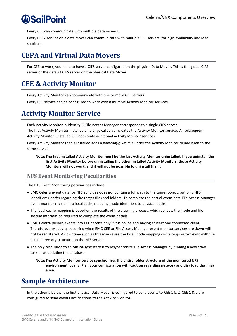Every CEE can communicate with multiple data movers.

Every CEPA service on a data mover can communicate with multiple CEE servers (for high availability and load sharing).

### <span id="page-11-0"></span>**CEPA and Virtual Data Movers**

For CEE to work, you need to have a CIFS server configured on the physical Data Mover. This is the global CIFS server or the default CIFS server on the physical Data Mover.

## <span id="page-11-1"></span>**CEE & Activity Monitor**

Every Activity Monitor can communicate with one or more CEE servers.

Every CEE service can be configured to work with a multiple Activity Monitor services.

### <span id="page-11-2"></span>**Activity Monitor Service**

Each Activity Monitor in IdentityIQ File Access Manager corresponds to a single CIFS server.

The first Activity Monitor installed on a physical server creates the Activity Monitor service. All subsequent Activity Monitors installed will not create additional Activity Monitor services.

Every Activity Monitor that is installed adds a *bamconfig.xml* file under the Activity Monitor to add itself to the same service.

**Note: The first installed Activity Monitor must be the last Activity Monitor uninstalled. If you uninstall the first Activity Monitor before uninstalling the other installed Activity Monitors, those Activity Monitors will not work, and it will not be possible to uninstall them.**

### <span id="page-11-3"></span>**NFS Event Monitoring Peculiarities**

The NFS Event Monitoring peculiarities include:

- EMC Celerra event data for NFS activities does not contain a full path to the target object, but only NFS identifiers (*inode*) regarding the target files and folders. To complete the partial event data File Access Manager event monitor maintains a local cache mapping inode identifiers to physical paths.
- The local cache mapping is based on the results of the crawling process, which collects the inode and file system information required to complete the event details.
- EMC Celerra pushes events into CEE service only if it is online and having at least one connected client. Therefore, any activity occurring when EMC CEE or File Access Manager event monitor services are down will not be registered. A downtime such as this may cause the local inode mapping cache to go out-of-sync with the actual directory structure on the NFS server.
- The only resolution to an out-of-sync state is to resynchronize File Access Manager by running a new crawl task, thus updating the database.

**Note: The Activity Monitor service synchronizes the entire folder structure of the monitored NFS environment locally. Plan your configuration with caution regarding network and disk load that may arise.**

## <span id="page-11-4"></span>**Sample Architecture**

In the schema below, the first physical Data Mover is configured to send events to CEE 1 & 2. CEE 1 & 2 are configured to send events notifications to the Activity Monitor.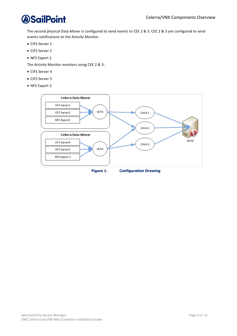

The second physical Data Mover is configured to send events to CEE 2 & 3. CEE 2 & 3 are configured to send events notifications to the Activity Monitor.

- CIFS Server 1
- CIFS Server 2
- NFS Export 1

The Activity Monitor monitors using CEE 2 & 3:

- CIFS Server 4
- CIFS Server 5
- NFS Export 2

<span id="page-12-0"></span>

IdentityIQ File Access Manager **Page 6 of 21** and 21 EMC Celerra and VNX NAS Connector Installation Guide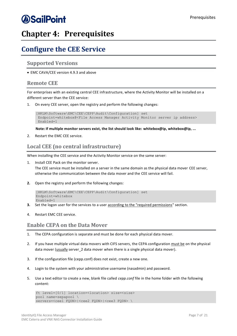## *<u>OSailPoint</u>*

## <span id="page-13-0"></span>**Chapter 4: Prerequisites**

### <span id="page-13-1"></span>**Configure the CEE Service**

### <span id="page-13-2"></span>**Supported Versions**

• EMC CAVA/CEE version 4.9.3 and above

#### <span id="page-13-3"></span>**Remote CEE**

For enterprises with an existing central CEE infrastructure, where the Activity Monitor will be installed on a different server than the CEE service:

1. On every CEE server, open the registry and perform the following changes:

```
[HKLM\Software\EMC\CEE\CEPP\Audit\Configuration] set
Endpoint=whitebox@<File Access Manager Activity Monitor server ip address>
Enabled=1
```
**Note: If multiple monitor servers exist, the list should look like: whitebox@ip, whitebox@ip, ...**

2. Restart the EMC CEE service.

### <span id="page-13-4"></span>**Local CEE (no central infrastructure)**

When installing the CEE service and the Activity Monitor service on the same server:

Install CEE Pack on the monitor server.

The CEE service must be installed on a server in the same domain as the physical data mover CEE server, otherwise the communication between the data mover and the CEE service will fail.

**2.** Open the registry and perform the following changes:

```
[HKLM\Software\EMC\CEE\CEPP\Audit\Configuration] set
Endpoint=whitebox
Enabled=1
```
- **3.** Set the logon user for the services to a user according to the "required permissions" section.
- 4. Restart EMC CEE service.

### <span id="page-13-5"></span>**Enable CEPA on the Data Mover**

- 1. The CEPA configuration is separate and must be done for each physical data mover.
- 2. If you have multiple virtual data movers with CIFS servers, the CEPA configuration must be on the physical data mover (usually server\_2 data mover when there is a single physical data mover).
- 3. If the configuration file (cepp.conf) does not exist, create a new one.
- 4. Login to the system with your administrative username (nasadmin) and password.
- 5. Use a text editor to create a new, blank file called *cepp.conf* file in the home folder with the following content:

```
ft level=[0/1] location=<location> size=<size>
pool name=sepapool \
servers=<cee1 FQDN>|<cee2 FQDN>|<cee3 FQDN> \
```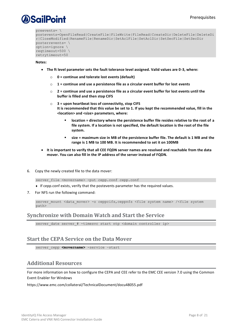```
preevents= \
```

```
postevents=OpenFileRead|CreateFile|FileWrite|FileRead|CreateDir|DeleteFile|DeleteDi
r|CloseModified|RenameFile|RenameDir|SetAclFile|SetAclDir|SetSecFile|SetSecDir 
posterrevents= \
option=ignore \
reqtimeout=500 \
retrytimeout=50
```
**Notes:**

- **The ft level parameter sets the fault tolerance level assigned. Valid values are 0-3, where:**
	- o **0 = continue and tolerate lost events (default)**
	- o **1 = continue and use a persistence file as a circular event buffer for lost events**
	- o **2 = continue and use a persistence file as a circular event buffer for lost events until the buffer is filled and then stop CIFS**
	- o **3 = upon heartbeat loss of connectivity, stop CIFS It is recommended that this value be set to 1. If you kept the recommended value, fill in the <location> and <size> parameters, where:**
		- **location = directory where the persistence buffer file resides relative to the root of a file system. If a location is not specified, the default location is the root of the file system.**
		- **size = maximum size in MB of the persistence buffer file. The default is 1 MB and the range is 1 MB to 100 MB. It is recommended to set it on 100MB**
- **It is important to verify that all CEE FQDN server names are resolved and reachable from the data mover. You can also fill in the IP address of the server instead of FQDN.**
- 6. Copy the newly created file to the data mover:

server file <movername> -put cepp.conf cepp.conf

- ◆ If cepp.conf exists, verify that the postevents parameter has the required values.
- 7. For NFS run the following command:

server mount <data mover> -o ceppcifs, ceppnfs <file system name> /<file system path>

### <span id="page-14-0"></span>**Synchronize with Domain Watch and Start the Service**

server date server # -timesvc start ntp <domain controller ip>

### <span id="page-14-1"></span>**Start the CEPA Service on the Data Mover**

server cepp <movername> -service -start

### <span id="page-14-2"></span>**Additional Resources**

For more information on how to configure the CEPA and CEE refer to the EMC CEE version 7.0 using the Common Event Enabler for Windows

https://www.emc.com/collateral/TechnicalDocument/docu48055.pdf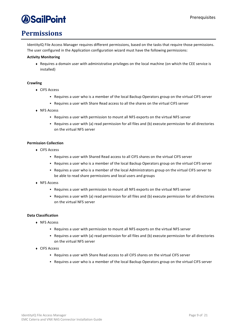### <span id="page-15-0"></span>**Permissions**

IdentityIQ File Access Manager requires different permissions, based on the tasks that require those permissions. The user configured in the Application configuration wizard must have the following permissions:

#### **Activity Monitoring**

◆ Requires a domain user with administrative privileges on the local machine (on which the CEE service is installed)

#### **Crawling**

- ◆ CIFS Access
	- Requires a user who is a member of the local Backup Operators group on the virtual CIFS server
	- Requires a user with Share Read access to all the shares on the virtual CIFS server
- ◆ NFS Access
	- Requires a user with permission to mount all NFS exports on the virtual NFS server
	- Requires a user with (a) read permission for all files and (b) execute permission for all directories on the virtual NFS server

#### **Permission Collection**

- <sup>⧫</sup> CIFS Access
	- Requires a user with Shared Read access to all CIFS shares on the virtual CIFS server
	- Requires a user who is a member of the local Backup Operators group on the virtual CIFS server
	- Requires a user who is a member of the local Administrators group on the virtual CIFS server to be able to read share permissions and local users and groups
- ◆ NFS Access
	- Requires a user with permission to mount all NFS exports on the virtual NFS server
	- Requires a user with (a) read permission for all files and (b) execute permission for all directories on the virtual NFS server

#### **Data Classification**

- ◆ NFS Access
	- Requires a user with permission to mount all NFS exports on the virtual NFS server
	- Requires a user with (a) read permission for all files and (b) execute permission for all directories on the virtual NFS server
- <sup>⧫</sup> CIFS Access
	- Requires a user with Share Read access to all CIFS shares on the virtual CIFS server
	- Requires a user who is a member of the local Backup Operators group on the virtual CIFS server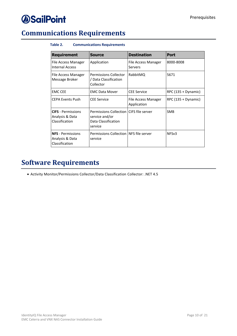## <span id="page-16-2"></span><span id="page-16-0"></span>**Communications Requirements**

#### **Table 2. Communications Requirements**

| <b>Requirement</b>                                             | <b>Source</b>                                                                               | <b>Destination</b>                 | <b>Port</b>          |
|----------------------------------------------------------------|---------------------------------------------------------------------------------------------|------------------------------------|----------------------|
| File Access Manager<br><b>Internal Access</b>                  | Application                                                                                 | File Access Manager<br>Servers     | 8000-8008            |
| File Access Manager<br>Message Broker                          | <b>Permissions Collector</b><br>/ Data Classification<br>Collector                          | RabbitMQ                           | 5671                 |
| <b>EMC CEE</b>                                                 | <b>EMC Data Mover</b>                                                                       | <b>CEE Service</b>                 | $RPC(135 + Dynamic)$ |
| <b>CEPA Events Push</b>                                        | <b>CEE Service</b>                                                                          | File Access Manager<br>Application | RPC (135 + Dynamic)  |
| <b>CIFS</b> - Permissions<br>Analysis & Data<br>Classification | Permissions Collection CIFS file server<br>service and/or<br>Data Classification<br>service |                                    | <b>SMB</b>           |
| <b>NFS</b> - Permissions<br>Analysis & Data<br>Classification  | Permissions Collection INFS file server<br>service                                          |                                    | NFS <sub>v3</sub>    |

## <span id="page-16-1"></span>**Software Requirements**

• Activity Monitor/Permissions Collector/Data Classification Collector: .NET 4.5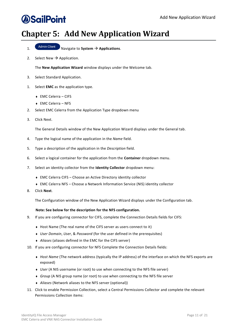## <span id="page-17-0"></span>**Chapter 5: Add New Application Wizard**

- 1. Navigate to **System** → **Applications**.
- 2. Select New  $\rightarrow$  Application.

The **New Application Wizard** window displays under the Welcome tab.

- 3. Select Standard Application.
- 1. Select **EMC** as the application type.
	- <sup>⧫</sup> EMC Celerra CIFS
	- <sup>⧫</sup> EMC Celerra NFS
- 2. Select EMC Celerra from the Application Type dropdown menu
- 3. Click Next.

The General Details window of the New Application Wizard displays under the General tab.

- 4. Type the logical name of the application in the *Name* field.
- 5. Type a description of the application in the *Description* field.
- 6. Select a logical container for the application from the **Container** dropdown menu.
- 7. Select an identity collector from the **Identity Collector** dropdown menu:
	- ◆ EMC Celerra CIFS Choose an Active Directory identity collector
	- ◆ EMC Celerra NFS Choose a Network Information Service (NIS) identity collector
- 8. Click **Next**.

The Configuration window of the New Application Wizard displays under the Configuration tab.

#### **Note: See below for the description for the NFS configuration.**

- 9. If you are configuring connector for CIFS, complete the Connection Details fields for CIFS:
	- ◆ Host Name (The real name of the CIFS server as users connect to it)
	- <sup>⧫</sup> *User Domain*, *User*, & *Password* (for the user defined in the prerequisites)
	- <sup>⧫</sup> *Aliases* (aliases defined in the EMC for the CIFS server)
- 10. If you are configuring connector for NFS Complete the Connection Details fields:
	- <sup>⧫</sup> *Host Name* (The network address (typically the IP address) of the interface on which the NFS exports are exposed)
	- <sup>⧫</sup> *User* (A NIS username (or root) to use when connecting to the NFS file server)
	- ◆ *Group* (A NIS group name (or root) to use when connecting to the NFS file server
	- <sup>⧫</sup> *Aliases* (Network aliases to the NFS server (optional))
- 11. Click to enable Permission Collection, select a Central Permissions Collector and complete the relevant Permissions Collection items: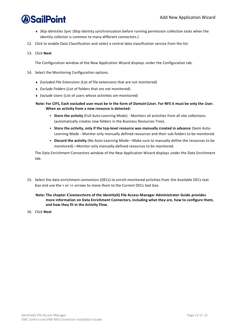- <sup>⧫</sup> *Skip Identities Sync* (Skip identity synchronization before running permission collection tasks when the identity collector is common to many different connectors.)
- 12. Click to enable Data Classification and select a central data classification service from the list
- 13. Click **Next**

The Configuration window of the New Application Wizard displays under the Configuration tab.

- 14. Select the Monitoring Configuration options.
	- <sup>⧫</sup> *Excluded File Extensions (*List of file extensions that are not monitored)
	- <sup>⧫</sup> *Exclude Folders* (List of folders that are not monitored)
	- <sup>⧫</sup> *Exclude Users* (List of users whose activities are monitored)

#### **Note: For CIFS, Each excluded user must be in the form of Domain\User. For NFS it must be only the User. When an activity from a new resource is detected:**

- **Store the activity** (Full Auto-Learning Mode) Monitors all activities from all site collections (automatically creates new folders in the Business Resources Tree).
- **Store the activity, only if the top-level resource was manually created in advance** (Semi Auto-Learning Mode - Monitor only manually defined resources and their sub-folders to be monitored.
- **Discard the activity** (No Auto-Learning Mode—Make sure to manually define the resources to be monitored)—Monitor only manually-defined resources to be monitored.

The Data Enrichment Connectors window of the New Application Wizard displays under the Data Enrichment tab.

15. Select the data enrichment connectors (DECs) to enrich monitored activities from the Available DECs text box and use the > or >> arrows to move them to the Current DECs text box.

**Note: The chapter** *Connectors* **of the IdentityIQ File Access Manager Administrator Guide provides more information on Data Enrichment Connectors, including what they are, how to configure them, and how they fit in the Activity Flow.**

16. Click **Next**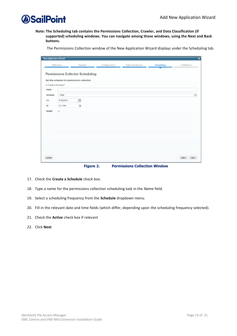

**Note: The Scheduling tab contains the Permissions Collection, Crawler, and Data Classification (if supported) scheduling windows. You can navigate among those windows, using the Next and Back buttons.**

The Permissions Collection window of the New Application Wizard displays under the Scheduling tab.

| <b>New Application Wizard</b> |                         |                                                                                        |               |                 |                   | $\overline{\mathbf{x}}$ |
|-------------------------------|-------------------------|----------------------------------------------------------------------------------------|---------------|-----------------|-------------------|-------------------------|
|                               | Welcome                 | General                                                                                | Configuration | Data Enrichment | <b>Scheduling</b> | Fulfillment             |
| Create a Schedule?            |                         | <b>Permissions Collector Scheduling</b><br>Set the schedule for permissions collection |               |                 |                   |                         |
| Name:                         |                         |                                                                                        |               |                 |                   |                         |
| Schedule:                     | Once                    |                                                                                        |               |                 |                   | $\checkmark$            |
| On:                           | 5/10/2018               | 曲                                                                                      |               |                 |                   |                         |
| At:                           | 8:21 PM                 | ٠                                                                                      |               |                 |                   |                         |
| Active?                       | $\overline{\mathbf{v}}$ |                                                                                        |               |                 |                   |                         |
|                               |                         |                                                                                        |               |                 |                   |                         |
| Cancel                        |                         |                                                                                        |               |                 |                   | Back<br>Next            |

**Figure 2. Permissions Collection Window**

- <span id="page-19-0"></span>17. Check the **Create a Schedule** check box.
- 18. Type a name for the permissions collection scheduling task in the *Name* field.
- 19. Select a scheduling frequency from the **Schedule** dropdown menu.
- 20. Fill in the relevant date and time fields (which differ, depending upon the scheduling frequency selected).
- 21. Check the **Active** check box if relevant
- 22. Click **Next**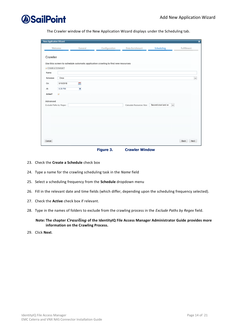

The Crawler window of the New Application Wizard displays under the Scheduling tab.

| <b>New Application Wizard</b>          |                                    |         |                                                                                  |                           |                               | $\overline{\mathbf{x}}$ |
|----------------------------------------|------------------------------------|---------|----------------------------------------------------------------------------------|---------------------------|-------------------------------|-------------------------|
|                                        | Welcome                            | General | Configuration                                                                    | Data Enrichment           | <b>Scheduling</b>             | Fulfillment             |
| Crawler<br>Create a Schedule?<br>Name: |                                    |         | Use this screen to schedule automatic application crawling to find new resources |                           |                               |                         |
| Schedule:                              | Once                               |         |                                                                                  |                           |                               | $\check{~}$             |
| On:                                    | 5/10/2018                          | Ħ       |                                                                                  |                           |                               |                         |
| At:<br>Active?                         | 8:20 PM<br>$\overline{\mathbf{v}}$ | ٠       |                                                                                  |                           |                               |                         |
| Advanced                               |                                    |         |                                                                                  |                           |                               |                         |
| Exclude Paths by Regex:                |                                    |         |                                                                                  | Calculate Resources Size: | Second crawl and on<br>$\sim$ |                         |
|                                        |                                    |         |                                                                                  |                           |                               |                         |
|                                        |                                    |         |                                                                                  |                           |                               |                         |
|                                        |                                    |         |                                                                                  |                           |                               |                         |
| Cancel                                 |                                    |         |                                                                                  |                           |                               | Back<br>Next            |

**Figure 3. Crawler Window**

- <span id="page-20-0"></span>23. Check the **Create a Schedule** check box
- 24. Type a name for the crawling scheduling task in the *Name* field
- 25. Select a scheduling frequency from the **Schedule** dropdown menu
- 26. Fill in the relevant date and time fields (which differ, depending upon the scheduling frequency selected).
- 27. Check the **Active** check box if relevant.
- 28. Type in the names of folders to exclude from the crawling process in the *Exclude Paths by Regex* field.

**Note: The chapter** *Crawling* **of the IdentityIQ File Access Manager Administrator Guide provides more information on the Crawling Process.**

29. Click **Next**.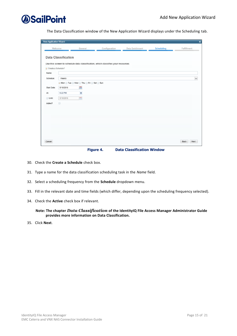

The Data Classification window of the New Application Wizard displays under the Scheduling tab.

| <b>New Application Wizard</b> |                            |                             |                                                                                  |                 |                   | $\pmb{\times}$ |
|-------------------------------|----------------------------|-----------------------------|----------------------------------------------------------------------------------|-----------------|-------------------|----------------|
| Welcome                       |                            | General                     | Configuration                                                                    | Data Enrichment | <b>Scheduling</b> | Fulfillment    |
|                               | <b>Data Classification</b> |                             | Use this screen to schedule data classification, which classifies your resources |                 |                   |                |
| Create a Schedule?            |                            |                             |                                                                                  |                 |                   |                |
| Name:                         |                            |                             |                                                                                  |                 |                   |                |
| Schedule:                     | Weekly                     |                             |                                                                                  |                 |                   | $\check{ }$    |
|                               |                            | Mon Tue Wed Thu Fri Sat Sun |                                                                                  |                 |                   |                |
| Start Date:                   | 5/10/2018                  | E.                          |                                                                                  |                 |                   |                |
| At                            | 9:22 PM                    | Ξ                           |                                                                                  |                 |                   |                |
| Until:                        | 5/10/2018                  | 册                           |                                                                                  |                 |                   |                |
| Active?                       | $\Box$                     |                             |                                                                                  |                 |                   |                |
|                               |                            |                             |                                                                                  |                 |                   |                |
|                               |                            |                             |                                                                                  |                 |                   |                |
|                               |                            |                             |                                                                                  |                 |                   |                |
|                               |                            |                             |                                                                                  |                 |                   |                |
|                               |                            |                             |                                                                                  |                 |                   |                |
|                               |                            |                             |                                                                                  |                 |                   |                |
| Cancel                        |                            |                             |                                                                                  |                 |                   | Back<br>Next   |
|                               |                            |                             |                                                                                  |                 |                   |                |

**Figure 4. Data Classification Window**

- <span id="page-21-0"></span>30. Check the **Create a Schedule** check box.
- 31. Type a name for the data classification scheduling task in the *Name* field.
- 32. Select a scheduling frequency from the **Schedule** dropdown menu.
- 33. Fill in the relevant date and time fields (which differ, depending upon the scheduling frequency selected).
- 34. Check the **Active** check box if relevant.

**Note: The chapter** *Data Classification* **of the IdentityIQ File Access Manager Administrator Guide provides more information on Data Classification.**

35. Click **Next**.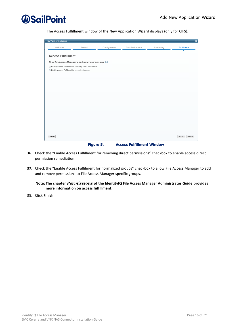The Access Fulfillment window of the New Application Wizard displays (only for CIFS).

| <b>New Application Wizard</b>                         |                                                               |               |                                  |            | $\overline{\mathsf{x}}$ |  |  |  |  |
|-------------------------------------------------------|---------------------------------------------------------------|---------------|----------------------------------|------------|-------------------------|--|--|--|--|
| Welcome                                               | General                                                       | Configuration | Data Enrichment                  | Scheduling | <b>Fulfillment</b>      |  |  |  |  |
|                                                       |                                                               |               |                                  |            |                         |  |  |  |  |
| <b>Access Fulfillment</b>                             |                                                               |               |                                  |            |                         |  |  |  |  |
| Allow File Access Manager to add/remove permissions @ |                                                               |               |                                  |            |                         |  |  |  |  |
|                                                       | The Enable Access Fulfillment for removing direct permissions |               |                                  |            |                         |  |  |  |  |
| Enable Access Fulfillment for normalized groups       |                                                               |               |                                  |            |                         |  |  |  |  |
|                                                       |                                                               |               |                                  |            |                         |  |  |  |  |
|                                                       |                                                               |               |                                  |            |                         |  |  |  |  |
|                                                       |                                                               |               |                                  |            |                         |  |  |  |  |
|                                                       |                                                               |               |                                  |            |                         |  |  |  |  |
|                                                       |                                                               |               |                                  |            |                         |  |  |  |  |
|                                                       |                                                               |               |                                  |            |                         |  |  |  |  |
|                                                       |                                                               |               |                                  |            |                         |  |  |  |  |
|                                                       |                                                               |               |                                  |            |                         |  |  |  |  |
|                                                       |                                                               |               |                                  |            |                         |  |  |  |  |
|                                                       |                                                               |               |                                  |            |                         |  |  |  |  |
|                                                       |                                                               |               |                                  |            |                         |  |  |  |  |
|                                                       |                                                               |               |                                  |            |                         |  |  |  |  |
| Cancel                                                |                                                               |               |                                  |            | Back<br>Finish          |  |  |  |  |
|                                                       | Figure 5.                                                     |               | <b>Access Fulfillment Window</b> |            |                         |  |  |  |  |

- <span id="page-22-0"></span>**36.** Check the "Enable Access Fulfillment for removing direct permissions" checkbox to enable access direct permission remediation.
- **37.** Check the "Enable Access Fulfilment for normalized groups" checkbox to allow File Access Manager to add and remove permissions to File Access Manager specific groups.

**Note: The chapter** *Permissions* **of the IdentityIQ File Access Manager Administrator Guide provides more information on access fulfillment.**

38. Click **Finish**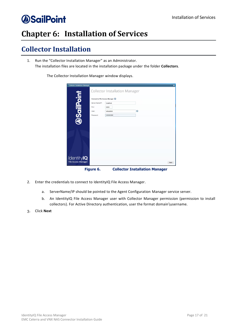## <span id="page-23-0"></span>**Chapter 6: Installation of Services**

## <span id="page-23-1"></span>**Collector Installation**

1. Run the "Collector Installation Manager" as an Administrator. The installation files are located in the installation package under the folder **Collectors**.

The Collector Installation Manager window displays.

| <b>Collector Installation Manager</b>           |                                                                                 |                                       |                                       | $\overline{\mathbf{x}}$ |
|-------------------------------------------------|---------------------------------------------------------------------------------|---------------------------------------|---------------------------------------|-------------------------|
|                                                 |                                                                                 | <b>Collector Installation Manager</b> |                                       |                         |
| <b>DSailPoint</b>                               | Connect to File Access Manager<br>Server Name/IP:<br>Port<br>User:<br>Password: | localhost<br>8000<br>wbxadmin<br>     | $\bullet$                             |                         |
|                                                 |                                                                                 |                                       |                                       |                         |
|                                                 |                                                                                 |                                       |                                       |                         |
|                                                 |                                                                                 |                                       |                                       |                         |
| <b>IdentityIQ</b><br><b>File Access Manager</b> |                                                                                 |                                       |                                       | Next                    |
|                                                 | Figure 6.                                                                       |                                       | <b>Collector Installation Manager</b> |                         |

- <span id="page-23-2"></span>2. Enter the credentials to connect to IdentityIQ File Access Manager.
	- a. ServerName/IP should be pointed to the Agent Configuration Manager service server.
	- b. An IdentityIQ File Access Manager user with Collector Manager permission (permission to install collectors). For Active Directory authentication, user the format domain\username.
- 3. Click **Next**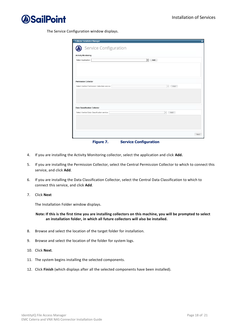

The Service Configuration window displays.

| <b>Collector Installation Manager</b>         | $\overline{\mathbf{x}}$         |
|-----------------------------------------------|---------------------------------|
| Service Configuration                         |                                 |
| <b>Activity Monitoring</b>                    |                                 |
| Select Application:                           | $\overline{\phantom{a}}$<br>Add |
|                                               |                                 |
|                                               |                                 |
|                                               |                                 |
| <b>Permission Collector</b>                   |                                 |
| Select Central Permission Collection service: | $\overline{\mathbf{v}}$<br>Add  |
|                                               |                                 |
|                                               |                                 |
|                                               |                                 |
| <b>Data Classification Collector</b>          |                                 |
| Select Central Data Classification service:   | $\hspace{0.1mm}$<br>Add         |
|                                               |                                 |
|                                               |                                 |
|                                               |                                 |
|                                               | Next                            |
| Figure 7.                                     | <b>Service Configuration</b>    |

- <span id="page-24-0"></span>4. If you are installing the Activity Monitoring collector, select the application and click **Add.**
- 5. If you are installing the Permission Collector, select the Central Permission Collector to which to connect this service, and click **Add**.
- 6. If you are installing the Data Classification Collector, select the Central Data Classification to which to connect this service, and click **Add**.
- 7. Click **Next**

The Installation Folder window displays.

#### **Note: If this is the first time you are installing collectors on this machine, you will be prompted to select an installation folder, in which all future collectors will also be installed.**

- 8. Browse and select the location of the target folder for installation.
- 9. Browse and select the location of the folder for system logs.
- 10. Click **Next**.
- 11. The system begins installing the selected components.
- 12. Click **Finish** (which displays after all the selected components have been installed).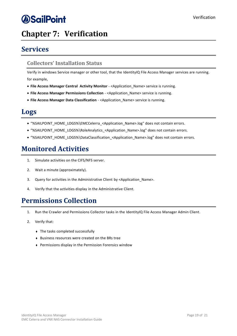## <span id="page-25-0"></span>**Chapter 7: Verification**

## <span id="page-25-1"></span>**Services**

### <span id="page-25-2"></span>**Collectors' Installation Status**

Verify in windows Service manager or other tool, that the IdentityIQ File Access Manager services are running. for example,

- **File Access Manager Central Activity Monitor** <Application\_Name> service is running.
- **File Access Manager Permissions Collection** <Application\_Name> service is running.
- **File Access Manager Data Classification** <Application\_Name> service is running.

### <span id="page-25-3"></span>**Logs**

- "%SAILPOINT\_HOME\_LOGS%\EMCCelerra\_<Application\_Name>.log" does not contain errors.
- "%SAILPOINT\_HOME\_LOGS%\RoleAnalytics\_<Application\_Name>.log" does not contain errors.
- "%SAILPOINT\_HOME\_LOGS%\DataClassification\_<Application\_Name>.log" does not contain errors.

### <span id="page-25-4"></span>**Monitored Activities**

- 1. Simulate activities on the CIFS/NFS server.
- 2. Wait a minute (approximately).
- 3. Query for activities in the Administrative Client by <Application Name>.
- 4. Verify that the activities display in the Administrative Client.

### <span id="page-25-5"></span>**Permissions Collection**

- 1. Run the Crawler and Permissions Collector tasks in the IdentityIQ File Access Manager Admin Client.
- 2. Verify that:
	- ◆ The tasks completed successfully
	- <sup>⧫</sup> Business resources were created on the BRs tree
	- <sup>⧫</sup> Permissions display in the Permission Forensics window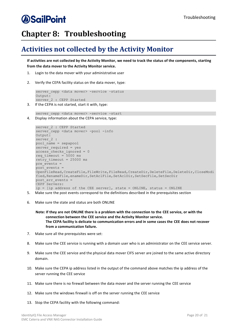## *<u>OSailPoint</u>*

## <span id="page-26-0"></span>**Chapter 8: Troubleshooting**

## <span id="page-26-1"></span>**Activities not collected by the Activity Monitor**

**If activities are not collected by the Activity Monitor, we need to track the status of the components, starting from the data mover to the Activity Monitor service.**

- 1. Login to the data mover with your administrative user
- 2. Verify the CEPA facility status on the data mover, type:

```
server cepp <data mover> -service -status
Output:
server 2 : CEPP Started
```
3. If the CEPA is not started, start it with, type:

```
server_cepp <data mover> -service -start
4. Display information about the CEPA service, type:
```

```
server 2 : CEPP Started
server_cepp <data mover> -pool -info
Output:
server_2 :
pool_name = sepapool
server required = yes
access_checks_ignored = 0
req timeout = 5000 ms
retry_timeout = 25000 ms
pre \text{events} =
post events =OpenFileRead, CreateFile, FileWrite, FileRead, CreateDir, DeleteFile, DeleteDir, CloseModi
fied, RenameFile, enameDir, SetAclFile, SetAclDir, SetSecFile, SetSecDir
post err events =
CEPP Servers:
ip = [ip address of the CEE server], state = ONLINE, status = ONLINE
```
- 5. Make sure the post events correspond to the definitions described in the prerequisites section
- 6. Make sure the state and status are both ONLINE

```
Note: If they are not ONLINE there is a problem with the connection to the CEE service, or with the 
      connection between the CEE service and the Activity Monitor service. 
      The CEPA facility is delicate to communication errors and in some cases the CEE does not recover 
     from a communication failure.
```
- 7. Make sure all the prerequisites were set:
- 8. Make sure the CEE service is running with a domain user who is an administrator on the CEE service server.
- 9. Make sure the CEE service and the physical data mover CIFS server are joined to the same active directory domain.
- 10. Make sure the CEPA ip address listed in the output of the command above matches the ip address of the server running the CEE service
- 11. Make sure there is no firewall between the data mover and the server running the CEE service
- 12. Make sure the windows firewall is off on the server running the CEE service
- 13. Stop the CEPA facility with the following command: